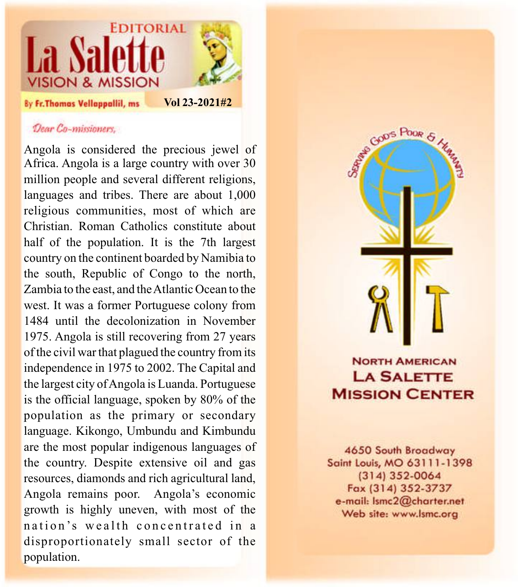

## Dear Co-missioners,

Angola is considered the precious jewel of Africa. Angola is a large country with over 30 million people and several different religions, languages and tribes. There are about 1,000 religious communities, most of which are Christian. Roman Catholics constitute about half of the population. It is the 7th largest country on the continent boarded by Namibia to the south, Republic of Congo to the north, Zambia to the east, and the Atlantic Ocean to the west. It was a former Portuguese colony from 1484 until the decolonization in November 1975. Angola is still recovering from 27 years of the civil war that plagued the country from its independence in 1975 to 2002. The Capital and the largest city of Angola is Luanda. Portuguese is the official language, spoken by 80% of the population as the primary or secondary language. Kikongo, Umbundu and Kimbundu are the most popular indigenous languages of the country. Despite extensive oil and gas resources, diamonds and rich agricultural land, Angola remains poor. Angola's economic growth is highly uneven, with most of the nation's wealth concentrated in a disproportionately small sector of the population.



## **NORTH AMERICAN LA SALETTE MISSION CENTER**

4650 South Broadway Saint Louis, MO 63111-1398  $(314)$  352-0064 Fax (314) 352-3737 e-mail: Ismc2@charter.net Web site: www.lsmc.org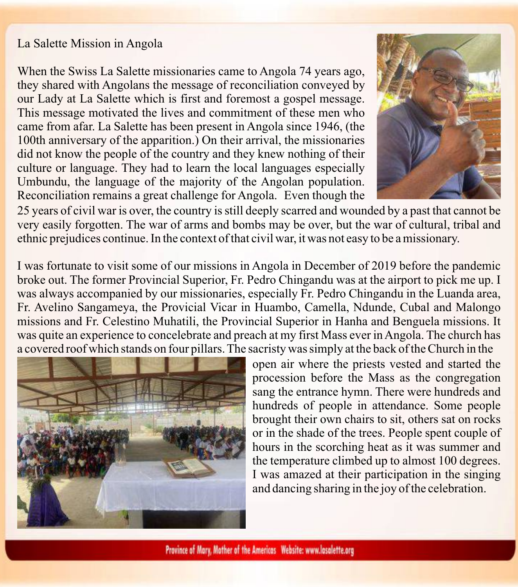## La Salette Mission in Angola

When the Swiss La Salette missionaries came to Angola 74 years ago, they shared with Angolans the message of reconciliation conveyed by our Lady at La Salette which is first and foremost a gospel message. This message motivated the lives and commitment of these men who came from afar. La Salette has been present in Angola since 1946, (the 100th anniversary of the apparition.) On their arrival, the missionaries did not know the people of the country and they knew nothing of their culture or language. They had to learn the local languages especially Umbundu, the language of the majority of the Angolan population. Reconciliation remains a great challenge for Angola. Even though the



25 years of civil war is over, the country is still deeply scarred and wounded by a past that cannot be very easily forgotten. The war of arms and bombs may be over, but the war of cultural, tribal and ethnic prejudices continue. In the context of that civil war, it was not easy to be a missionary.

I was fortunate to visit some of our missions in Angola in December of 2019 before the pandemic broke out. The former Provincial Superior, Fr. Pedro Chingandu was at the airport to pick me up. I was always accompanied by our missionaries, especially Fr. Pedro Chingandu in the Luanda area, Fr. Avelino Sangameya, the Provicial Vicar in Huambo, Camella, Ndunde, Cubal and Malongo missions and Fr. Celestino Muhatili, the Provincial Superior in Hanha and Benguela missions. It was quite an experience to concelebrate and preach at my first Mass ever in Angola. The church has a covered roof which stands on four pillars. The sacristy was simply at the back of the Church in the



open air where the priests vested and started the procession before the Mass as the congregation sang the entrance hymn. There were hundreds and hundreds of people in attendance. Some people brought their own chairs to sit, others sat on rocks or in the shade of the trees. People spent couple of hours in the scorching heat as it was summer and the temperature climbed up to almost 100 degrees. I was amazed at their participation in the singing and dancing sharing in the joy of the celebration.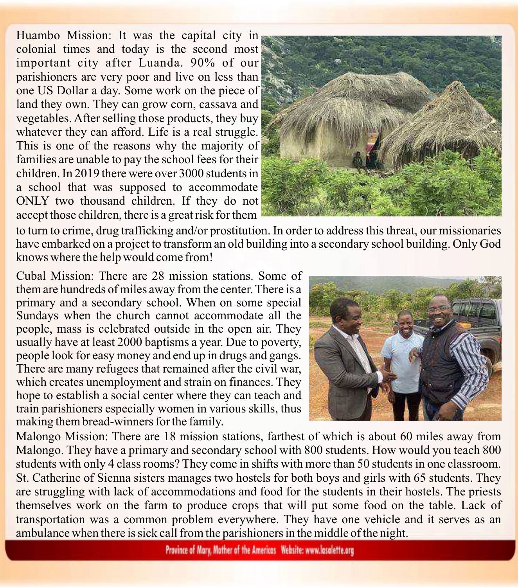Huambo Mission: It was the capital city in colonial times and today is the second most important city after Luanda. 90% of our parishioners are very poor and live on less than one US Dollar a day. Some work on the piece of land they own. They can grow corn, cassava and vegetables. After selling those products, they buy whatever they can afford. Life is a real struggle. This is one of the reasons why the majority of families are unable to pay the school fees for their children. In 2019 there were over 3000 students in a school that was supposed to accommodate ONLY two thousand children. If they do not accept those children, there is a great risk for them



to turn to crime, drug trafficking and/or prostitution. In order to address this threat, our missionaries have embarked on a project to transform an old building into a secondary school building. Only God knows where the help would come from!

Cubal Mission: There are 28 mission stations. Some of them are hundreds of miles away from the center. There is a primary and a secondary school. When on some special Sundays when the church cannot accommodate all the people, mass is celebrated outside in the open air. They usually have at least 2000 baptisms a year. Due to poverty, people look for easy money and end up in drugs and gangs. There are many refugees that remained after the civil war, which creates unemployment and strain on finances. They hope to establish a social center where they can teach and train parishioners especially women in various skills, thus making them bread-winners for the family.



Malongo Mission: There are 18 mission stations, farthest of which is about 60 miles away from Malongo. They have a primary and secondary school with 800 students. How would you teach 800 students with only 4 class rooms? They come in shifts with more than 50 students in one classroom. St. Catherine of Sienna sisters manages two hostels for both boys and girls with 65 students. They are struggling with lack of accommodations and food for the students in their hostels. The priests themselves work on the farm to produce crops that will put some food on the table. Lack of transportation was a common problem everywhere. They have one vehicle and it serves as an ambulance when there is sick call from the parishioners in the middle of the night.

Province of Mary, Mother of the Americas Website: www.lasalette.org